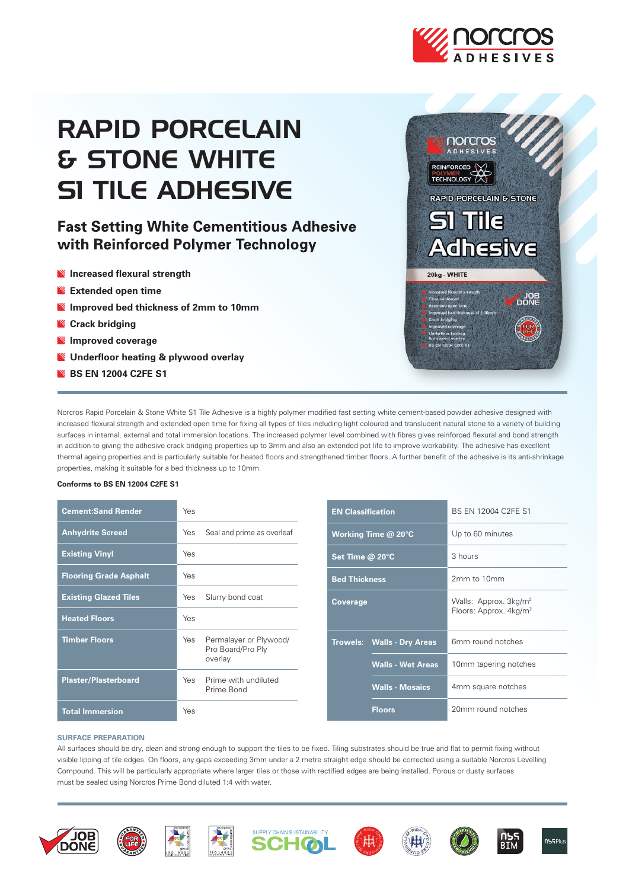

# RAPID PORCELAIN & STONE WHITE**SI TILE ADHESIVE**

# **Fast Setting White Cementitious Adhesive** with Reinforced Polymer Technology

- **Increased flexural strength**
- **Extended open time**
- **Improved bed thickness of 2mm to 10mm**
- **Crack bridging**
- **Improved coverage**
- **Underfloor heating & plywood overlay**
- **BS EN 12004 C2FE S1**



Norcros Rapid Porcelain & Stone White S1 Tile Adhesive is a highly polymer modified fast setting white cement-based powder adhesive designed with increased flexural strength and extended open time for fixing all types of tiles including light coloured and translucent natural stone to a variety of building surfaces in internal, external and total immersion locations. The increased polymer level combined with fibres gives reinforced flexural and bond strength in addition to giving the adhesive crack bridging properties up to 3mm and also an extended pot life to improve workability. The adhesive has excellent thermal ageing properties and is particularly suitable for heated floors and strengthened timber floors. A further benefit of the adhesive is its anti-shrinkage properties, making it suitable for a bed thickness up to 10mm.

# **Conforms to BS EN 12004 C2FE S1**

| <b>Cement:Sand Render</b>     | Yes                                                           |
|-------------------------------|---------------------------------------------------------------|
| <b>Anhydrite Screed</b>       | Seal and prime as overleaf<br>Yes                             |
| <b>Existing Vinyl</b>         | Yes                                                           |
| <b>Flooring Grade Asphalt</b> | Yes                                                           |
| <b>Existing Glazed Tiles</b>  | Yes<br>Slurry bond coat                                       |
| <b>Heated Floors</b>          | Yes                                                           |
| <b>Timber Floors</b>          | Yes<br>Permalayer or Plywood/<br>Pro Board/Pro Ply<br>overlay |
| <b>Plaster/Plasterboard</b>   | Prime with undiluted<br>Yes<br>Prime Bond                     |
| <b>Total Immersion</b>        | Yes                                                           |

| <b>EN Classification</b> |                                   | BS EN 12004 C2FE S1                                                     |  |
|--------------------------|-----------------------------------|-------------------------------------------------------------------------|--|
| Working Time $@$ 20 $°C$ |                                   | Up to 60 minutes                                                        |  |
| Set Time @ 20°C          |                                   | 3 hours                                                                 |  |
| <b>Bed Thickness</b>     |                                   | 2mm to 10mm                                                             |  |
| Coverage                 |                                   | Walls: Approx. 3kg/m <sup>2</sup><br>Floors: Approx. 4kg/m <sup>2</sup> |  |
|                          | <b>Trowels: Walls - Dry Areas</b> | 6mm round notches                                                       |  |
|                          | <b>Walls - Wet Areas</b>          | 10mm tapering notches                                                   |  |
|                          | <b>Walls - Mosaics</b>            | 4mm square notches                                                      |  |
|                          | <b>Floors</b>                     | 20mm round notches                                                      |  |

# **SURFACE PREPARATION**

All surfaces should be dry, clean and strong enough to support the tiles to be fixed. Tiling substrates should be true and flat to permit fixing without visible lipping of tile edges. On floors, any gaps exceeding 3mm under a 2 metre straight edge should be corrected using a suitable Norcros Levelling Compound. This will be particularly appropriate where larger tiles or those with rectified edges are being installed. Porous or dusty surfaces must be sealed using Norcros Prime Bond diluted 1:4 with water.















**RTM**